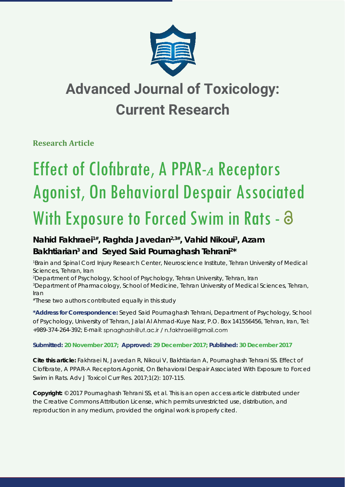

**Research Article**

# **Effect of Clofibrate, A PPAR-A Receptors** Agonist, On Behavioral Despair Associated With Exposure to Forced Swim in Rats - a

### **Nahid Fakhraei1#, Raghda Javedan2,3#, Vahid Nikoui3 , Azam**  Bakhtiarian<sup>3</sup> and Seyed Said Pournaghash Tehrani<sup>2\*</sup>

*1 Brain and Spinal Cord Injury Research Center, Neuroscience Institute, Tehran University of Medical Sciences, Tehran, Iran*

*2 Department of Psychology, School of Psychology, Tehran University, Tehran, Iran 3 Department of Pharmacology, School of Medicine, Tehran University of Medical Sciences, Tehran, Iran*

*#These two authors contributed equally in this study*

**\*Address for Correspondence:** Seyed Said Pournaghash Tehrani, Department of Psychology, School of Psychology, University of Tehran, Jalal Al Ahmad-Kuye Nasr, P.O. Box 141556456, Tehran, Iran, Tel: +989-374-264-392; E-mail: spnaghash@ut.ac.ir / n.fakhraei@gmail.com

**Submitted: 20 November 2017; Approved: 29 December 2017; Published: 30 December 2017**

**Cite this article:** Fakhraei N, Javedan R, Nikoui V, Bakhtiarian A, Pournaghash Tehrani SS. Effect of Clofibrate, A PPAR-Α Receptors Agonist, On Behavioral Despair Associated With Exposure to Forced Swim in Rats. Adv J Toxicol Curr Res. 2017;1(2): 107-115.

**Copyright:** © 2017 Pournaghash Tehrani SS, et al. This is an open access article distributed under the Creative Commons Attribution License, which permits unrestricted use, distribution, and reproduction in any medium, provided the original work is properly cited.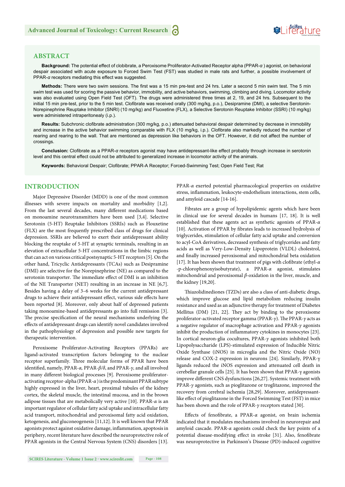#### **ABSTRACT**

**Background:** The potential effect of clobibrate, a Peroxisome Proliferator-Activated Receptor alpha (PPAR-*α* ) agonist, on behavioral despair associated with acute exposure to Forced Swim Test (FST) was studied in male rats and further, a possible involvement of PPAR-*α* receptors mediating this effect was suggested.

Methods: There were two swim sessions. The first was a 15 min pre-test and 24 hrs. Later a second 5 min swim test. The 5 min swim test was used for scoring the passive behavior, immobility, and active behaviors, swimming, climbing and diving. Locomotor activity was also evaluated using Open Field Test (OFT). The drugs were administered three times at 2, 19, and 24 hrs. Subsequent to the initial 15 min pre-test, prior to the 5 min test. Clofibrate was received orally (300 mg/kg, p.o.), Desipramine (DMI), a selective Serotonin-Norepinephrine Reuptake Inhibitor (SNRI) (10 mg/kg) and Fluoxetine (FLX), a Selective Serotonin Reuptake Inhibitor (SSRI) (10 mg/kg) were administered intraperitonealy (i.p.).

Results: Subchronic clofibrate administration (300 mg/kg, p.o.) attenuated behavioral despair determined by decrease in immobility and increase in the active behavior swimming comparable with FLX (10 mg/kg, i.p.). Clofibrate also markedly reduced the number of rearing and rearing to the wall. That are mentioned as depression like behaviors in the OFT. However, it did not affect the number of crossings.

Conclusion: Clofibrate as a PPAR-*α* receptors agonist may have antidepressant-like effect probably through increase in serotonin level and this central effect could not be attributed to generalized increase in locomotor activity of the animals.

Keywords: Behavioral Despair; Clofibrate; PPAR-A Receptor; Forced-Swimming Test; Open Field Test; Rat

#### **INTRODUCTION**

Major Depressive Disorder (MDD) is one of the most common illnesses with severe impacts on mortality and morbidity [1,2]. From the last several decades, many different medications based on monoamine neurotransmitters have been used [3,4]. Selective Serotonin (5-HT) Reuptake Inhibitors (SSRIs) such as Flouxetine (FLX) are the most frequently prescribed class of drugs for clinical depression. SSRIs are believed to exert their antidepressant ability blocking the reuptake of 5-HT at synaptic terminals, resulting in an elevation of extracellular 5-HT concentrations in the limbic regions that can act on various critical postsynaptic 5-HT receptors [5]. On the other hand, Tricyclic Antidepressants (TCAs) such as Desipramine (DMI) are selective for the Norepinephrine (NE) as compared to the serotonin transporter. The immediate effect of DMI is an inhibition of the NE Transporter (NET) resulting in an increase in NE [6,7]. Besides having a delay of 3–6 weeks for the current antidepressant drugs to achieve their antidepressant effect, various side effects have been reported [8]. Moreover, only about half of depressed patients taking monoamine-based antidepressants go into full remission [3]. The precise specification of the neural mechanisms underlying the effects of antidepressant drugs can identify novel candidates involved in the pathophysiology of depression and possible new targets for therapeutic intervention.

Peroxisome Proliferator-Activating Receptors (PPARs) are ligand-activated transcription factors belonging to the nuclear receptor superfamily. Three molecular forms of PPAR have been identified, namely, PPAR-*α*, PPAR-*β*/δ, and PPAR-*γ*, and all involved in many different biological processes [9]. Peroxisome proliferatoractivating receptor-alpha (PPAR-*α* ) is the predominant PPAR subtype highly expressed in the liver, heart, proximal tubules of the kidney cortex, the skeletal muscle, the intestinal mucosa, and in the brown adipose tissues that are metabolically very active [10]. PPAR-*α* is an important regulator of cellular fatty acid uptake and intracellular fatty acid transport, mitochondrial and peroxisomal fatty acid oxidation, ketogenesis, and gluconeogenesis [11,12]. It is well known that PPAR agonists protect against oxidative damage, inflammation, apoptosis in periphery, recent literature have described the neuroprotective role of PPAR agonists in the Central Nervous System (CNS) disorders [13].

PPAR-*α* exerted potential pharmacological properties on oxidative stress, inflammation, leukocyte-endothelium interactions, stem cells, and amyloid cascade [14-16].

**SeiRes** ture

Fibrates are a group of hypolipidemic agents which have been in clinical use for several decades in humans [17, 18]. It is well established that these agents act as synthetic agonists of PPAR-*α*  [10]. Activation of PPAR by fibrates leads to increased hydrolysis of triglycerides, stimulation of cellular fatty acid uptake and conversion to acyl-CoA derivatives, decreased synthesis of triglycerides and fatty acids as well as Very-Low-Density Lipoprotein (VLDL) cholestrol, and finally increased peroxisomal and mitochondrial beta oxidation [17]. It has been shown that treatment of pigs with clofibrate (ethyl-α -p-chlorophenoxyisobutyrate), a PPAR-*α* agonist, stimulates mitochondrial and peroxisomal *β-*oxidation in the liver, muscle, and the kidney [19,20].

Thiazolidinediones (TZDs) are also a class of anti-diabetic drugs, which improve glucose and lipid metabolism reducing insulin resistance and used as an adjunctive therapy for treatment of Diabetes Mellitus (DM) [21, 22]. They act by binding to the peroxisome proliferator-activated receptor gamma (PPAR-*γ*). The PPAR-*γ* acts as a negative regulator of macrophage activation and PPAR-*γ* agonists inhibit the production of inflammatory cytokines in monocytes [23]. In cortical neuron-glia cocultures, PPAR-*γ* agonists inhibited both Lipopolysaccharide (LPS)-stimulated expression of Inducible Nitric Oxide Synthase (iNOS) in microglia and the Nitric Oxide (NO) release and COX-2 expression in neurons [24]. Similarly, PPAR-γ ligands reduced the iNOS expression and attenuated cell death in cerebellar granule cells [25]. It has been shown that PPAR-γ agonists improve different CNS dysfunctions [26,27]. Systemic treatment with PPAR-*γ* agonists, such as pioglitazone or troglitazone, improved the recovery from cerebral ischemia [28,29]. Moreover, antidepressantlike effect of pioglitazone in the Forced Swimming Test (FST) in mice has been shown and the role of PPAR-*γ* receptors stated [30].

Effects of fenofibrate, a PPAR-*α* agonist, on brain ischemia indicated that it modulates mechanisms involved in neurorepair and amyloid cascade. PPAR-*α* agonists could check the key points of a potential disease-modifying effect in stroke [31]. Also, fenofibrate was neuroprotective in Parkinson's Disease (PD)-induced cognitive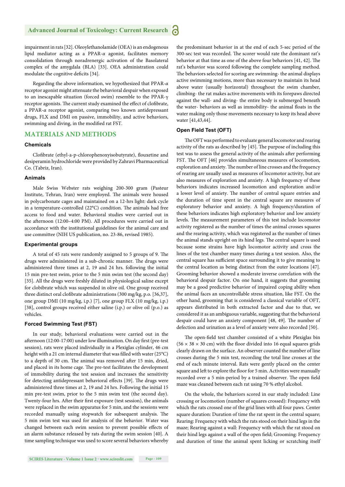impairment in rats [32]. Oleoylethanolamide (OEA) is an endogenous lipid mediator acting as a PPAR-*α* agonist, facilitates memory consolidation through noradrenergic activation of the Basolateral complex of the amygdala (BLA) [33]. OEA administration could modulate the cognitive deficits [34].

Regarding the above information, we hypothesized that PPAR-*α*  receptor agonist might attenuate the behavioral despair when exposed to an inescapable situation (forced swim) resemble to the PPAR-γ receptor agonists. The current study examined the effect of clofibrate, a PPAR-*α* receptor agonist, comparing two known antidepressant drugs, FLX and DMI on passive, immobility, and active behaviors, swimming and diving, in the modified rat FST.

#### **MATERIALS AND METHODS**

#### **Chemicals**

Clofibrate (ethyl-a-p-chlorophenoxyisobutyrate), flouxetine and desiperamin hydrochloride were provided by Zahravi Pharmaceutical Co. (Tabriz, Iran).

#### **Animals**

Male Swiss Webster rats weighing 200-300 gram (Pasteur Institute, Tehran, Iran) were employed. The animals were housed in polycarbonate cages and maintained on a 12-hrs light: dark cycle in a temperature-controlled (22°C) condition. The animals had free access to food and water. Behavioral studies were carried out in the afternoon (12:00-4:00 PM). All procedures were carried out in accordance with the institutional guidelines for the animal care and use committee (NIH US publication, no. 23-86, revised 1985).

#### **Experimental groups**

A total of 45 rats were randomly assigned to 5 groups of 9. The drugs were administered in a sub-chronic manner. The drugs were administered three times at 2, 19 and 24 hrs. following the initial 15 min pre-test swim, prior to the 5 min swim test (the second day) [35]. All the drugs were freshly diluted in physiological saline except for clobibrate which was suspended in olive oil. One group received three distinct oral clofibrate administrations (300 mg/kg, p.o. [36,37], one group DMI (10 mg/kg, i.p.) [7], one group FLX (10 mg/kg, i.p.) [38], control groups received either saline (i.p.) or olive oil (p.o.) as vehicles.

#### **Forced Swimming Test (FST)**

In our study, behavioral evaluations were carried out in the afternoon (12:00-17:00) under low illumination. On day first (pre-test session), rats were placed individually in a Plexiglas cylinder, 46 cm height with a 21 cm internal diameter that was filled with water (25 $^{\circ}$ C) to a depth of 30 cm. The animal was removed after 15 min, dried, and placed in its home cage. The pre-test facilitates the development of immobility during the test session and increases the sensitivity for detecting antidepressant behavioral effects [39]. The drugs were administered three times at 2, 19 and 24 hrs. Following the initial 15 min pre-test swim, prior to the 5 min swim test (the second day). Twenty-four hrs. After their first exposure (test session), the animals were replaced in the swim apparatus for 5 min, and the sessions were recorded manually using stopwatch for subsequent analysis. The 5 min swim test was used for analysis of the behavior. Water was changed between each swim session to prevent possible effects of an alarm substance released by rats during the swim session [40]. A time sampling technique was used to score several behaviors whereby

the predominant behavior in at the end of each 5-sec period of the 300-sec test was recorded. The scorer would rate the dominant rat's behavior at that time as one of the above four behaviors  $[41, 42]$ . The rat's behavior was scored following the complete sampling method. The behaviors selected for scoring are swimming- the animal displays active swimming motions, more than necessary to maintain its head above water (usually horizontal) throughout the swim chamber, climbing- the rat makes active movements with its forepaws directed against the wall- and diving- the entire body is submerged beneath the water- behaviors as well as immobility- the animal floats in the water making only those movements necessary to keep its head above water [41,43,44].

#### **Open Field Test (OFT)**

The OFT was performed to evaluate general locomotor and rearing activity of the rats as described by [45]. The purpose of including this test was to assess the general activity of the animals after performing FST. The OFT [46] provides simultaneous measures of locomotion, exploration and anxiety. The number of line crosses and the frequency of rearing are usually used as measures of locomotor activity, but are also measures of exploration and anxiety. A high frequency of these behaviors indicates increased locomotion and exploration and/or a lower level of anxiety. The number of central square entries and the duration of time spent in the central square are measures of exploratory behavior and anxiety. A high frequency/duration of these behaviors indicates high exploratory behavior and low anxiety levels. The measurement parameters of this test include locomotor activity registered as the number of times the animal crosses squares and the rearing activity, which was registered as the number of times the animal stands upright on its hind legs. The central square is used because some strains have high locomotor activity and cross the lines of the test chamber many times during a test session. Also, the central square has sufficient space surrounding it to give meaning to the central location as being distinct from the outer locations [47]. Grooming behavior showed a moderate inverse correlation with the behavioral despair factor. On one hand, it suggests that grooming may be a good predictive behavior of impaired coping ability when the animal faces an uncontrollable stress situation, like FST. On the other hand, grooming that is considered a classical variable of OFT, appears distributed in both extracted factor and due to that, we considered it as an ambiguous variable, suggesting that the behavioral despair could have an anxiety component [48, 49]. The number of defection and urination as a level of anxiety were also recorded [50].

The open-field test chamber consisted of a white Plexiglas bin  $(56 \times 38 \times 30$  cm) with the floor divided into 16 equal squares grids clearly drawn on the surface. An observer counted the number of line crosses during the 5 min test, recording the total line crosses at the end of each minute interval. Rats were gently placed on the center square and left to explore the floor for 5 min. Activities were manually recorded over a 5 min-period by a trained observer. The open field maze was cleaned between each rat using 70 % ethyl alcohol.

On the whole, the behaviors scored in our study included: Line crossing or locomotion (number of squares crossed): Frequency with which the rats crossed one of the grid lines with all four paws. Center square duration: Duration of time the rat spent in the central square; Rearing: Frequency with which the rats stood on their hind legs in the maze; Rearing against a wall: Frequency with which the rat stood on their hind legs against a wall of the open field; Grooming: Frequency and duration of time the animal spent licking or scratching itself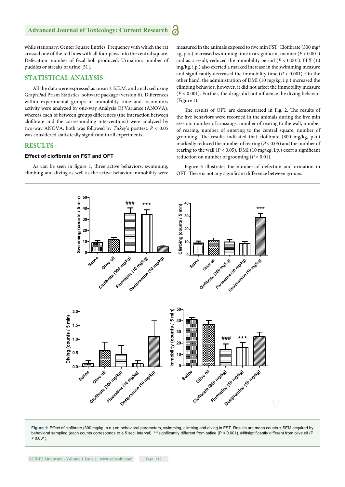while stationary; Center Square Entries: Frequency with which the rat crossed one of the red lines with all four paws into the central square. Defecation: number of fecal boli produced; Urination: number of puddles or streaks of urine [51].

#### **STATISTICAL ANALYSIS**

All the data were expressed as mean  $\pm$  S.E.M. and analyzed using GraphPad Prism Statistics software package (version 6). Differences within experimental groups in immobility time and locomotors activity were analyzed by one-way Analysis Of Variance (ANOVA), whereas each of between groups differences (the interaction between clofibrate and the corresponding interventions) were analyzed by two-way ANOVA, both was followed by *Tukey*'s posttest. *P <* 0.05 was considered statistically significant in all experiments.

#### **RESULTS**

#### **Effect of clofibrate on FST and OFT**

As can be seen in figure 1, three active behaviors, swimming, climbing and diving as well as the active behavior immobility were measured in the animals exposed to five min FST. Clofibrate (300 mg/ kg, p.o.) increased swimming time in a significant manner  $(P < 0.001)$ and as a result, reduced the immobility period (*P* < 0.001). FLX (10 mg/kg, i.p.) also exerted a marked increase in the swimming measure and significantly decreased the immobility time  $(P < 0.001)$ . On the other hand, the administration of DMI (10 mg/kg, i.p.) increased the climbing behavior; however, it did not affect the immobility measure  $(P < 0.001)$ . Further, the drugs did not influence the diving behavior (Figure 1).

The results of OFT are demonstrated in Fig. 2. The results of the five behaviors were recorded in the animals during the five min session: number of crossings, number of rearing to the wall, number of rearing, number of entering to the central square, number of grooming. The results indicated that clofibrate (300 mg/kg, p.o.) markedly reduced the number of rearing (*P* < 0.05) and the number of rearing to the wall ( $P < 0.05$ ). DMI (10 mg/kg, i.p.) exert a significant reduction on number of grooming (*P* < 0.01).

Figure 3 illustrates the number of defection and urination in OFT. There is not any significant difference between groups.

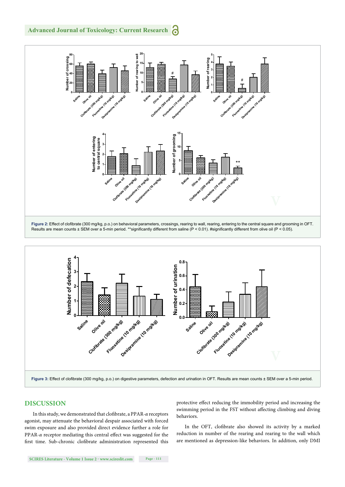



#### **DISCUSSION**

In this study, we demonstrated that clofi brate, a PPAR-*α* receptors agonist, may attenuate the behavioral despair associated with forced swim exposure and also provided direct evidence further a role for PPAR- $α$  receptor mediating this central effect was suggested for the first time. Sub-chronic clofibrate administration represented this protective effect reducing the immobility period and increasing the swimming period in the FST without affecting climbing and diving behaviors.

In the OFT, clofibrate also showed its activity by a marked reduction in number of the rearing and rearing to the wall which are mentioned as depression-like behaviors. In addition, only DMI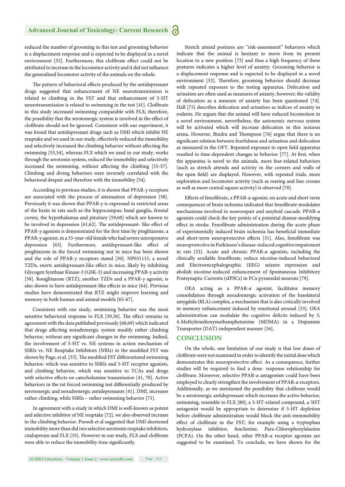reduced the number of grooming in this test and grooming behavior is a displacement response and is expected to be displayed in a novel environment [52]. Furthermore, this clofibrate effect could not be attributed to increase in the locomotor activity and it did not influence the generalized locomotor activity of the animals on the whole.

The pattern of behavioral effects produced by the antidepressant drugs suggested that enhancement of NE neurotransmission is related to climbing in the FST and that enhancement of 5-HT neurotransmission is related to swimming in the test [41]. Clofibrate in this study increased swimming comparable with FLX; therefore, the possibility that the serotonergic system is involved in the effect of clofibrate should not be ignored. Consistent with our experiment, it was found that antidepressant drugs such as DMI which inhibit NE reuptake and we used in our study, effectively reduced the immobility and selectively increased the climbing behavior without affecting the swimming [53,54], whereas FLX which we used in our study, works through the serotonin system, reduced the immobility and selectively increased the swimming, without affecting the climbing [55-57]. Climbing and diving behaviors were inversely correlated with the behavioral despair and therefore with the immobility [54].

According to previous studies, it is shown that PPAR-*γ* receptors are associated with the process of attenuation of depression [58]. Previously it was shown that PPAR*-γ* is expressed in restricted areas of the brain in rats such as the hippocampus, basal ganglia, frontal cortex, the hypothalamus and pituitary [59,60] which are known to be involved in depression [61,62]. The antidepressant- like effect of PPAR-*γ* agonists is demonstrated for the first time by pioglitazone, a PPAR-*γ* agonist, in a 55-year-old female who had severe unresponsive depression [63]. Furthermore, antidepressant-like effect of pioglitazone in the forced swimming test in mice has been shown and the role of PPAR-*γ* receptors stated [30]. NP031115, a novel TZDs, exerts antidepressant-like effect in mice, likely by inhibiting Glycogen Synthase Kinase-3 (GSK-3) and increasing PPAR-γ activity [58]. Rosiglitazone (RTZ), another TZDs and a PPAR*-γ* agonist, is also shown to have antidepressant-like effects in mice [64]. Previous studies have demonstrated that RTZ might improve learning and memory in both human and animal models [65-67].

Consistent with our study, swimming behavior was the most sensitive behavioral response to FLX [50,56]. The effect remains in agreement with the data published previously [68,69] which indicated that drugs affecting noradrenergic system modify rather climbing behavior, without any significant changes in the swimming. Indeed, the involvement of 5-HT vs. NE systems in action mechanism of SSRIs vs. NE Reuptake Inhibitors (NRIs) in the modified FST was shown by Page, et al. [53]. The modified FST differentiated swimming behavior, which was sensitive to SSRIs and 5-HT receptor agonists, and climbing behavior, which was sensitive to TCAs and drugs with selective effects on catecholamine transmission [41, 70]. Active behaviors in the rat forced swimming test differentially produced by serotonergic and noradrenergic antidepressants [41]. DMI, increases rather climbing, while SSRIs – rather swimming behavior [71].

In agreement with a study in which DMI is well-known as potent and selective inhibitor of NE reuptake [72], we also observed increase in the climbing behavior. Porsolt et al suggested that DMI shortened immobility more than did two selective serotonin reuptake inhibitors, citaloperam and FLX [35]. However in our study, FLX and clofibrate were able to reduce the immobility time significantly.

Stretch attend postures are "risk-assessment" behaviors which indicate that the animal is hesitant to move from its present location to a new position [73] and thus a high frequency of these postures indicates a higher level of anxiety. Grooming behavior is a displacement response and is expected to be displayed in a novel environment [52]. Therefore, grooming behavior should decrease with repeated exposure to the testing apparatus. Defecation and urination are often used as measures of anxiety, however; the validity of defecation as a measure of anxiety has been questioned [74]. Hall [75] describes defecation and urination as indices of anxiety in rodents. He argues that the animal will have reduced locomotion in a novel environment, nevertheless; the autonomic nervous system will be activated which will increase defecation in this noxious arena. However, Bindra and Thompson [76] argue that there is no significant relation between fearfulness and urination and defecation as measured in the OFT. Repeated exposure to open field apparatus resulted in time-dependent changes in behavior [77]. At first, when the apparatus is novel to the animals, more fear-related behaviors (such as stretch attends and activity in the corners and walls of the open field) are displayed. However, with repeated trials, more exploration and locomotor activity (such as rearing and line crosses as well as more central square activity) is observed [78].

Effects of fenofibrate, a PPAR-α agonist, on acute and short-term consequences of brain ischemia indicated that fenofibrate modulates mechanisms involved in neurorepair and amyloid cascade. PPAR-*α*  agonists could check the key points of a potential disease-modifying effect in stroke. Fenofibrate administration during the acute phase of experimentally induced brain ischemia has beneficial immediate and short-term neuroprotective effects [31]. Also, fenofibrate was neuroprotective in Parkinson's disease-induced cognitive impairment in rats [32]. Acute and chronic PPAR-*α* agonists, including the clinically available fenofibrate, reduce nicotine-induced behavioral and Electroencephalographic (EEG) seizure expression and abolish nicotine-induced enhancement of Spontaneous Inhibitory Postsynaptic Currents (sIPSCs) in FCx pyramidal neurons [79].

OEA acting as a PPAR-*α* agonist, facilitates memory consolidation through noradrenergic activation of the basolateral amygdala (BLA) complex, a mechanism that is also critically involved in memory enhancement induced by emotional arousal [33]. OEA administration can modulate the cognitive deficits induced by 3, 4-Methylenedioxymethamphetamine (MDMA) in a Dopamine Transporter (DAT)-independent manner [34].

#### **CONCLUSION**

On the whole, one limitation of our study is that low doses of clofibrate were not examined in order to identify the initial dose which demonstrates this neuroprotective effect. As a consequence, further studies will be required to find a dose- response relationship for clofi brate. Moreover, selective PPAR-*α* antagonists could have been employed to clearly strengthen the involvement of PPAR-*α* receptors. Additionally, as we mentioned the possibility that clofibrate would be a serotonergic antidepressant which increases the active behavior, swimming, resemble to FLX [80], a 5-HT-related compound, a 5HT antagonist would be appropriate to determine if 5-HT depletion before clofibrate administration would block the anti-immmobility effect of clofibrate in the FST; for example using a tryptophan hydroxylase inhibitor, fenclonine, Para-Chlorophenylalanine (PCPA). On the other hand, other PPAR-*α* receptor agonists are suggested to be examined. To conclude, we have shown for the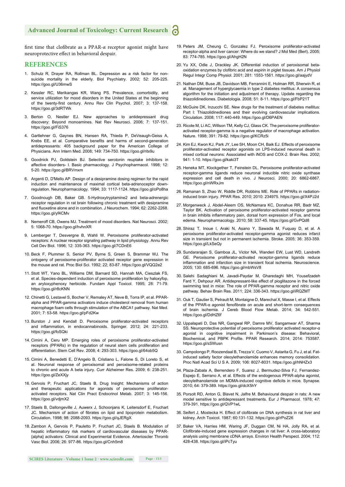first time that clofibrate as a PPAR-*α* receptor agonist might have neuroprotective effect in behavioral despair.

#### **REFERENCES**

- 1. Schulz R, Drayer RA, Rollman BL. Depression as a risk factor for nonsuicide mortality in the elderly. Biol Psychiatry. 2002; 52: 205-225. https://goo.gl/U36mwS
- 2. Kessler RC, Merikangas KR, Wang PS. Prevalence, comorbidity, and service utilization for mood disorders in the United States at the beginning of the twenty-first century. Annu Rev Clin Psychol. 2007; 3: 137-158. https://goo.gl/3dRTWk
- 3. Berton O, Nestler EJ. New approaches to antidepressant drug discovery: Beyond monoamines. Nat Rev Neurosci. 2006; 7: 137-151. https://goo.gl/FiS376
- 4. Gartlehner G, Gaynes BN, Hansen RA, Thieda P, DeVeaugh-Geiss A, Krebs EE, et al. Comparative benefits and harms of second-generation antidepressants: 405 background paper for the American College of Physicians. Ann Intern Med. 2008; 149: 734-750. https://goo.gl/ritx9u
- 5. Goodnick PJ, Goldstein BJ. Selective serotonin reuptake inhibitors in affective disorders- I. Basic pharmacology. J Psychopharmacol. 1998; 12: 5-20. https://goo.gl/BRVmxm
- 6. Argenti D, D'Mello AP. Design of a desipramine dosing regimen for the rapid induction and maintenance of maximal cortical beta-adrenoceptor downregulation. Neuropharmacology. 1994; 33: 1117-1124. https://goo.gl/oPo8ha
- 7. Goodnough DB, Baker GB. 5-Hydroxytryptamine2 and beta-adrenergic receptor regulation in rat brain following chronic treatment with desipramine and fluoxetine alone and in combination. J Neurochem. 1994; 62: 2262-2268. https://goo.gl/yf4CMv
- 8. Nemeroff CB, Owens MJ. Treatment of mood disorders. Nat Neurosci. 2002; 5: 1068-70. https://goo.gl/hvhnXR
- 9. Lemberger T, Desvergne B, Wahli W. Peroxisome proliferator-activated receptors: A nuclear receptor signaling pathway in lipid physiology. Annu Rev Cell Dev Biol. 1996; 12: 335-363. https://goo.gl/7CDnE6
- 10. Beck F, Plummer S, Senior PV, Byrne S, Green S, Brammar WJ. The ontogeny of peroxisome-proliferator activated receptor gene expression in the mouse and rat. Proc Biol Sci. 1992; 22; 83-87. https://goo.gl/VQQ2e2
- 11. Stott WT, Yano BL, Williams DM, Barnard SD, Hannah MA, Cieszlak FS, et al. Species-dependent induction of peroxisome proliferation by haloxyfop, an aryloxyphenoxy herbicide. Fundam Appl Toxicol. 1995; 28: 71-79. https://goo.gl/r8cKNN
- 12. Chinetti G, Lestavel S, Bocher V, Remaley AT, Neve B, Torra IP, et al. PPARalpha and PPAR-gamma activators induce cholesterol removal from human macrophage foam cells through stimulation of the ABCA1 pathway. Nat Med. 2001; 7: 53-58. https://goo.gl/pFd2Kw
- 13. Burston J and Kendall D. Peroxisome proliferator-activated receptors and inflammation, in endocannabinoids. Springer. 2012; 24: 221-233. https://goo.gl/foSQki
- 14. Cimini A, Ceru MP. Emerging roles of peroxisome proliferator-activated receptors (PPARs) in the regulation of neural stem cells proliferation and differentiation. Stem Cell Rev. 2008; 4: 293-303. https://goo.gl/64ob5Q
- 15. Cimini A, Benedetti E, D'Angelo B, Cristiano L, Falone S, Di Loreto S, et al. Neuronal response of peroxisomal and peroxisome-related proteins to chronic and acute A beta injury. Curr Alzheimer Res. 2009; 6: 238-251. https://goo.gl/ZeXXjy
- 16. Gervois P, Fruchart JC, Staels B. Drug Insight: Mechanisms of action and therapeutic applications for agonists of peroxisome proliferatoractivated receptors. Nat Clin Pract Endocrinol Metab. 2007; 3: 145-156. https://goo.gl/vdjmX2
- 17. Staels B, Dallongeville J, Auwerx J, Schoonjans K, Leitersdorf E, Fruchart JC. Mechanism of action of fibrates on lipid and lipoprotein metabolism. Circulation. 1998; 98: 2088-2093. https://goo.gl/qJERgX
- 18. Zambon A, Gervois P, Pauletto P, Fruchart JC, Staels B. Modulation of hepatic inflammatory risk markers of cardiovascular diseases by PPAR-{alpha} activators: Clinical and Experimental Evidence. Arterioscler Thromb Vasc Biol. 2006; 26: 977-86. https://goo.gl/Cnh5m8
- 19. Peters JM, Cheung C, Gonzalez FJ. Peroxisome proliferator-activated receptor-alpha and liver cancer: Where do we stand? J Mol Med (Berl). 2005; 83: 774-785. https://goo.gl/AhgH2N
- 20. Yu XX, Odle J, Drackley JK. Differential induction of peroxisomal betaoxidation enzymes by clofibric acid and aspirin in piglet tissues. Am J Physiol Regul Integr Comp Physiol. 2001; 281: 1553-1561. https://goo.gl/aajydV
- 21. Nathan DM, Buse JB, Davidson MB, Ferrannini E, Holman RR, Sherwin R, et al. Management of hyperglycaemia in type 2 diabetes mellitus: A consensus algorithm for the initiation and adjustment of therapy. Update regarding the thiazolidinediones. Diabetologia. 2008; 51: 8-11. https://goo.gl/FbP21T
- 22. McGuire DK, Inzucchi SE. New drugs for the treatment of diabetes mellitus: Part I: Thiazolidinediones and their evolving cardiovascular implications. Circulation. 2008; 117: 440-449. https://goo.gl/D6PAEN
- 23. Ricote M, Li AC, Willson TM, Kelly CJ, Glass CK. The peroxisome proliferatoractivated receptor-gamma is a negative regulator of macrophage activation. Nature. 1998; 391: 79-82. https://goo.gl/KCRz5i
- 24. Kim EJ, Kwon KJ, Park JY, Lee SH, Moon CH, Baik EJ. Effects of peroxisome proliferator-activated receptor agonists on LPS-induced neuronal death in mixed cortical neurons: Associated with iNOS and COX-2. Brain Res. 2002; 941: 1-10. https://goo.gl/kaki3T
- 25. Heneka MT, Klockgether T, Feinstein DL. Peroxisome proliferator-activated receptor-gamma ligands reduce neuronal inducible nitric oxide synthase expression and cell death in vivo. J Neurosci. 2000; 20: 6862-6867. https://goo.gl/nWRxJm
- 26. Ramanan S, Zhao W, Riddle DR, Robbins ME. Role of PPARs in radiationinduced brain injury. PPAR Res. 2010; 2010: 234975. https://goo.gl/X4PJ2d
- 27. Morgenweck J, Abdel-Aleem OS, McNamara KC, Donahue RR, Badr MZ Taylor BK. Activation of peroxisome proliferator-activated receptor gamma in brain inhibits inflammatory pain, dorsal horn expression of Fos, and local edema. Neuropharmacology. 2010; 58: 337-45. https://goo.gl/GvPQd8
- 28. Shiraz T, Inoue I, Araki N, Asano Y, Sawada M, Fuquay D, et al. A peroxisome proliferator-activated receptor-gamma agonist reduces infarct size in transient but not in permanent ischemia. Stroke. 2005; 36: 353-359. https://goo.gl/LkSeQy
- 29. Sundararajan S, Gamboa JL, Victor NA, Wanderi EW, Lust WD, Landreth GE. Peroxisome proliferator-activated receptor-gamma ligands reduce inflammation and infarction size in transient focal ischemia. Neuroscience. 2005; 130: 685-696. https://goo.gl/mbWsV8
- 30. Salehi Sadaghiani M, Javadi-Paydar M, Gharedaghi MH, Yousefzadeh Fard Y, Dehpour AR. Antidepressant-like effect of pioglitazone in the forced swimming test in mice: The role of PPAR-gamma receptor and nitric oxide pathway. Behav Brain Res. 2011; 224: 336-343. https://goo.gl/iRQZMT
- 31. Ouk T, Gautier S, Petrault M, Montaigne D, Marechal X, Masse I, et al. Effects of the PPAR-α agonist fenofibrate on acute and short-term consequences of brain ischemia. J Cereb Blood Flow Metab. 2014; 34: 542-551. https://goo.gl/DdHZ6f
- 32. Uppalapati D, Das NR, Gangwal RP, Damre MV, Sangamwar AT, Sharma SS. Neuroprotective potential of peroxisome proliferator activated receptor-α agonist in cognitive impairment in Parkinson's disease: Behavioral, Biochemical, and PBPK Profile. PPAR Research. 2014; 2014: 753587. https://goo.gl/sSWusn
- 33. Campolongo P, Roozendaal B, Trezza V, Cuomo V, Astarita G, Fu J, et al. Fatinduced satiety factor oleoylethanolamide enhances memory consolidation. Proc Natl Acad Sci U S A. 2009; 106: 8027-8031. https://goo.gl/hNHZx3
- 34. Plaza-Zabala A, Berrendero F, Suarez J, Bermudez-Silva FJ, Fernandez-Espejo E, Serrano A, et al. Effects of the endogenous PPAR-alpha agonist, oleoylethanolamide on MDMA-induced cognitive deficits in mice. Synapse. 2010; 64: 379-389. https://goo.gl/dcX5hY
- 35. Porsolt RD, Anton G, Blavet N, Jalfre M. Behavioural despair in rats: A new model sensitive to antidepressant treatments. Eur J Pharmacol. 1978; 47: 379-391. https://goo.gl/QVP1wL
- 36. Seifert J, Mostecka H. Effect of clofibrate on DNA synthesis in rat liver and kidney. Arch Toxicol. 1987; 60:131-132. https://goo.gl/rPoZ26
- 37. Baker VA, Harries HM, Waring JF, Duggan CM, Ni HA, Jolly RA, et al. Clofibrate-induced gene expression changes in rat liver: A cross-laboratory analysis using membrane cDNA arrays. Environ Health Perspect. 2004; 112: 428-438. https://goo.gl/iPcTyu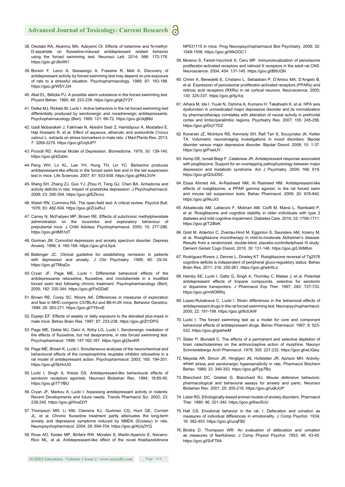- 38. Owolabi RA, Akanmu MA, Adeyemi OI. Effects of ketamine and N-methyl-D-aspartate on fluoxetine-induced antidepressant related behavior using the forced swimming test. Neurosci Lett. 2014; 566: 172-176. https://goo.gl/J8oWt1
- 39. Borsini F, Lecci A, Sessarego A, Frassine R, Meli A. Discovery of antidepressant activity by forced swimming test may depend on pre-exposure of rats to a stressful situation. Psychopharmacology. 1989; 97: 183-188. https://goo.gl/WSYJ34
- 40. Abel EL, Bilitzke PJ. A possible alarm substance in the forced swimming test. Physiol Behav. 1990; 48: 233-239. https://goo.gl/gk2Y2Y
- 41. Detke MJ, Rickels M, Lucki I. Active behaviors in the rat forced swimming test differentially produced by serotonergic and noradrenergic antidepressants. Psychopharmacology (Berl). 1995: 121: 66-72. https://goo.gl/zkjB8d
- 42. Izadi Mobarakeh J, Fakhraei N, Abedini Sadr Z, Hamidipour A, Mostafavi E, Haji Hosseini R, et al. Effect of aqueous, ethanolic and acetonitrile *Crocus sativus* L. extracts on stress biomarkers in male rats. J Med Plants Res. 2013; 7: 3269-3279. https://goo.gl/Uq9JP7
- 43. Porsolt RD. Animal Model of Depression. Biomedicine. 1979; 30: 139-140. https://goo.gl/4Zxbto
- 44. Peng WH, Lo KL, Lee YH, Hung TH, Lin YC. Berberine produces antidepressant-like effects in the forced swim test and in the tail suspension test in mice. Life Sciences. 2007; 81: 933-938. https://goo.gl/RkLSVH
- 45. Wang SH, Zhang ZJ, Guo YJ, Zhou H, Teng GJ, Chen BA. Anhedonia and activity deficits in rats: Impact of poststroke depression. J Psychopharmacol. 2009; 23: 295-304. https://goo.gl/EZkcxo
- 46. Walsh RN, Cummins RA. The open-field test: A critical review. Psychol Bull. 1976; 83: 482-504. https://goo.gl/ZUuRvJ
- 47. Carrey N, McFadyen MP, Brown RE. Effects of subchronic methylphenidate administration on the locomotor and exploratory behaviour of prepubertal mice. J Child Adolesc Psychopharmacol. 2000; 10: 277-286. https://goo.gl/dM51dT
- 48. Gorman JM. Comorbid depression and anxiety spectrum disorder. Depress Anxiety. 1996; 4: 160-168. https://goo.gl/vLfqck
- 49. Ballenger JC. Clinical guideline for establishing remission in patients with depression and anxiety. J Clin Psychiatry. 1999; 60: 29-34. https://goo.gl/TMiqGo
- 50. Cryan JF, Page ME, Lucki I. Differential behavioral effects of the antidepressants reboxetine, fluoxetine, and moclobemide in a modified forced swim test following chronic treatment. Psychopharmacology (Berl). 2005; 182: 335-344. https://goo.gl/FeGDeE
- 51. Brown RE, Corey SC, Moore AK. Differences in measures of exploration and fear in MHC-congenic C57BL/6J and B6-H-2K mice. Behavior Genetics. 1999; 26: 263-271. https://goo.gl/7Y6vxE
- 52. Espejo EF. Effects of weekly or daily exposure to the elevated plus-maze in male mice. Behav Brain Res. 1997; 87: 233-238. https://goo.gl/Zt1DPG
- 53. Page ME, Dekte MJ, Dalvi A, Kirby LG, Lucki I. Serotonergic mediation of the effects of fluoxetine, but not desipramine, in rats forced swimming test. Psychopharmacol. 1999; 147:162-167. https://goo.gl/j3evKR
- 54. Page ME, Brown K, Lucki I. Simultaneous analyses of the neurochemical and behavioural effects of the norepinephrine reuptake inhibitor reboxetine in a rat model of antidepressant action. Psychopharmacol. 2003; 165: 194-201. https://goo.gl/5bHvUG
- 55. Lucki I, Singh A, Kreiss DS. Antidepressant-like behavioural effects of serotonin receptors agonists. Neurosci Biobehav Rev. 1994; 18:85-95. https://goo.gl/771fBU
- 56. Cryan JF, Markou A, Lucki I. Assessing antidepressant activity in rodents: Recent Developments and future needs. Trends Pharmacol Sci. 2002; 23: 238-245. https://goo.gl/HvaQYf
- 57. Thompson MR, Li KM, Clemens KJ, Gurtman CG, Hunt GE, Cornish JL, et al. Chronic fluoxetine treatment partly attenuates the long-term anxiety and depressive symptoms induced by NMDA (Ecstasy) in rats. Neuropsychopharmacol. 2004; 29: 694-704. https://goo.gl/AUq3YQ
- 58. Rosa AO, Kaster MP, Binfare RW, Morales S, Martin-Aparicio E, Navarro-Rico ML, et al. Antidepressant-like effect of the novel thiadiazolidinone

NP031115 in mice. Prog Neuropsychopharmacol Biol Psychiatry. 2008; 32: 1549-1556. https://goo.gl/WkGGC1

- 59. Moreno S, Farioli-Vecchioli S, Ceru MP. Immunolocalization of peroxisome proliferator-activated receptors and retinoid X receptors in the adult rat CNS. Neuroscience. 2004; 454: 131-145. https://goo.gl/BttUQN
- 60. Cimini A, Benedetti E, Cristiano L, Sebastiani P, D'Amico MA, D'Angelo B, et al. Expression of peroxisome proliferator-activated receptors (PPARs) and retinoic acid receptors (RXRs) in rat cortical neurons. Neuroscience. 2005; 130: 325-337. https://goo.gl/tjyXxj
- 61. Aihara M, Ida I, Yuuki N, Oshima A, Kumano H, Takahashi K, et al. HPA axis dysfunction in unmedicated major depressive disorder and its normalization by pharmacotherapy correlates with alteration of neural activity in prefrontal cortex and limbic/paralimbic regions. Psychiatry Res. 2007; 155: 245-256. https://goo.gl/DqY7DZ
- 62. Konarski JZ, McIntyre RS, Kennedy SH, Rafi Tari S, Soczynska JK, Ketter TA. Volumetric neuroimaging investigations in mood disorders: Bipolar disorder versus major depressive disorder. Bipolar Disord. 2008; 10: 1-37. https://goo.gl/FswtJY
- 63. Kemp DE, Ismail-Beigi F, Calabrese JR. Antidepressant response associated with pioglitazone: Support for an overlapping pathophysiology between major depression and metabolic syndrome*.* Am J Psychiatry. 2009; 166: 619. https://goo.gl/Q3cDSC
- 64. Eissa Ahmed AA, Al-Rasheed NM, Al Rasheed NM. Antidepressant-like effects of rosiglitazone, a PPAR gamma agonist, in the rat forced swim and mouse tail suspension tests. Behav Pharmacol. 2009; 20: 635-642. https://goo.gl/NuJii3
- 65. Abbatecola AM, Lattanzio F, Molinari AM, Cioffi M, Mansi L, Rambaldi P, et al. Rosiglitazone and cognitive stability in older individuals with type 2 diabetes and mild cognitive impairment. Diabetes Care. 2010; 33: 1706-1711. https://goo.gl/T2iBeK
- 66. Gold M, Alderton C, Zvartau-Hind M, Egginton S, Saunders AM, Irizarry M, et al. Rosiglitazone monotherapy in mild-to-moderate Alzheimer's disease: Results from a randomized, double-blind, placebo-controlledphase III study. Dement Geriatr Cogn Disord. 2010; 30: 131-146. https://goo.gl/LWiMbm
- 67. Rodriguez-Rivera J, Denner L, Dineley KT. Rosiglitazone reversal of Tg2576 cognitive deficits is independent of peripheral gluco-regulatory status. Behav Brain Res. 2011; 216: 255-261. https://goo.gl/a4rALo
- 68. Hemby SE, Lucki I, Gatto G, Singh A, Thornley C, Matasi J, et al. Potential antidepressant effects of tropane compounds, selective for serotonin or dopamine transporters. J Pharmacol Exp Ther. 1997; 282: 727-733. https://goo.gl/mW3RRq
- 69. Lopez-Rubalcava C, Lucki I. Strain differences in the behavioral effects of antidepressant drugs in the rat forced swimming test. Neuropsychopharmacol. 2000; 22: 191-199. https://goo.gl/8ctUkW
- 70. Lucki I. The forced swimming test as a model for core and component behavioral effects of antidepressant drugs. Behav Pharmacol. 1997; 8: 523- 532. https://goo.gl/gskhwM
- 71. Slater P, Blundell C. The effects of a permanent and selective depletion of brain catecholamines on the antinociceptive action of morphine. Naunyn Schmiedebergs Arch Pharmacol. 1978; 305: 227-232. https://goo.gl/wLtQeq
- 72. Mayeda AR, Simon JR, Hingtgen JN, Hofstetter JR, Aprison MH. Activitywheel stress and serotonergic hypersensitivity in rats. Pharmacol Biochem Behav. 1989; 33: 349-353. https://goo.gl/Fpp7Bq
- 73. Blanchard DC, Griebel G, Blanchard RJ. Mouse defensive behaviors: pharmacological and behavioral assays for anxiety and panic. Neurosci Biobehav Rev. 2001; 25: 205-218. https://goo.gl/udkJUP
- 74. Lister RG. Ethologically-based animal models of anxiety disorders. Pharmacol Ther. 1990; 46: 321-340. https://goo.gl/6wx5UU
- 75. Hall CS. Emotional behavior in the rat. I. Defecation and urination as measures of individual differences in emotionality. J Comp Psychol. 1934; 18: 382-403. https://goo.gl/ucqFB2
- 76. Bindra D, Thompson WR. An evaluation of defecation and urination as measures of fearfulness*.* J Comp Physiol Psychol. 1953; 46: 43-45. https://goo.gl/SvFT64